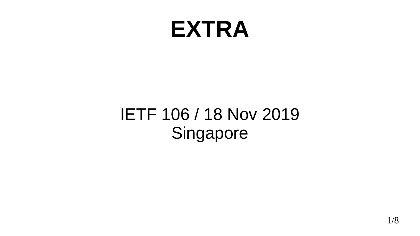#### **EXTRA**

#### IETF 106 / 18 Nov 2019 Singapore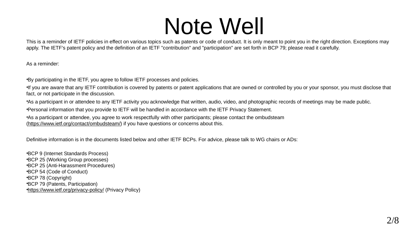#### Note Well

This is a reminder of IETF policies in effect on various topics such as patents or code of conduct. It is only meant to point you in the right direction. Exceptions may apply. The IETF's patent policy and the definition of an IETF "contribution" and "participation" are set forth in BCP 79; please read it carefully.

As a reminder:

•By participating in the IETF, you agree to follow IETF processes and policies.

•If you are aware that any IETF contribution is covered by patents or patent applications that are owned or controlled by you or your sponsor, you must disclose that fact, or not participate in the discussion.

•As a participant in or attendee to any IETF activity you acknowledge that written, audio, video, and photographic records of meetings may be made public.

•Personal information that you provide to IETF will be handled in accordance with the IETF Privacy Statement.

•As a participant or attendee, you agree to work respectfully with other participants; please contact the ombudsteam [\(https://www.ietf.org/contact/ombudsteam/\)](https://www.ietf.org/contact/ombudsteam/) if you have questions or concerns about this.

Definitive information is in the documents listed below and other IETF BCPs. For advice, please talk to WG chairs or ADs:

•BCP 9 (Internet Standards Process) •BCP 25 (Working Group processes) •BCP 25 (Anti-Harassment Procedures) •BCP 54 (Code of Conduct) •BCP 78 (Copyright) •BCP 79 (Patents, Participation) •<https://www.ietf.org/privacy-policy/>(Privacy Policy)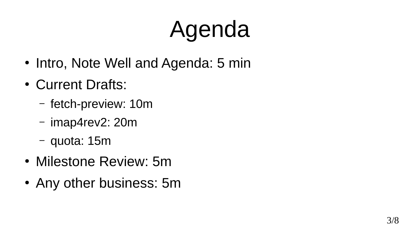# Agenda

- Intro, Note Well and Agenda: 5 min
- Current Drafts:
	- fetch-preview: 10m
	- imap4rev2: 20m
	- quota: 15m
- Milestone Review: 5m
- Any other business: 5m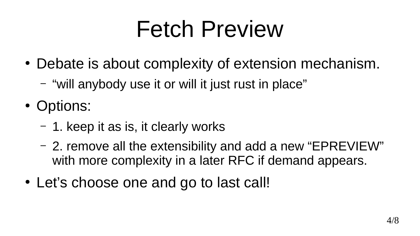## Fetch Preview

- Debate is about complexity of extension mechanism.
	- "will anybody use it or will it just rust in place"
- Options:
	- $-1$ . keep it as is, it clearly works
	- 2. remove all the extensibility and add a new "EPREVIEW" with more complexity in a later RFC if demand appears.
- Let's choose one and go to last call!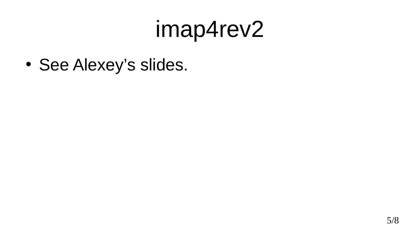### imap4rev2

• See Alexey's slides.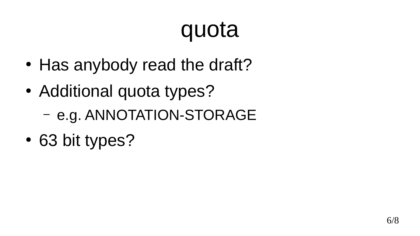## quota

- Has anybody read the draft?
- Additional quota types?
	- e.g. ANNOTATION-STORAGE
- 63 bit types?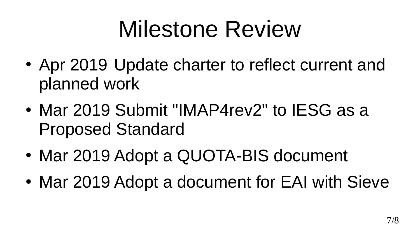## Milestone Review

- Apr 2019 Update charter to reflect current and planned work
- Mar 2019 Submit "IMAP4rev2" to IESG as a Proposed Standard
- Mar 2019 Adopt a QUOTA-BIS document
- Mar 2019 Adopt a document for EAI with Sieve